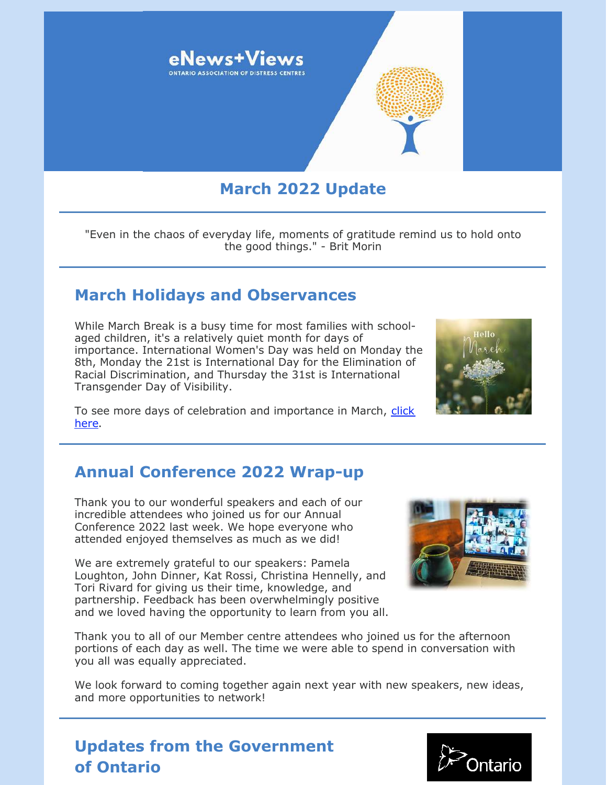

## **March 2022 Update**

"Even in the chaos of everyday life, moments of gratitude remind us to hold onto the good things." - Brit Morin

### **March Holidays and Observances**

While March Break is a busy time for most families with schoolaged children, it's a relatively quiet month for days of importance. International Women's Day was held on Monday the 8th, Monday the 21st is International Day for the Elimination of Racial Discrimination, and Thursday the 31st is International Transgender Day of Visibility.

[To see more days of celebration and importance in March, click](https://www.wincalendar.com/Calendar-Canada/March-2022) here.

## **Annual Conference 2022 Wrap-up**

Thank you to our wonderful speakers and each of our incredible attendees who joined us for our Annual Conference 2022 last week. We hope everyone who attended enjoyed themselves as much as we did!

We are extremely grateful to our speakers: Pamela Loughton, John Dinner, Kat Rossi, Christina Hennelly, and Tori Rivard for giving us their time, knowledge, and partnership. Feedback has been overwhelmingly positive and we loved having the opportunity to learn from you all.

Thank you to all of our Member centre attendees who joined us for the afternoon portions of each day as well. The time we were able to spend in conversation with you all was equally appreciated.

We look forward to coming together again next year with new speakers, new ideas, and more opportunities to network!

## **Updates from the Government of Ontario**



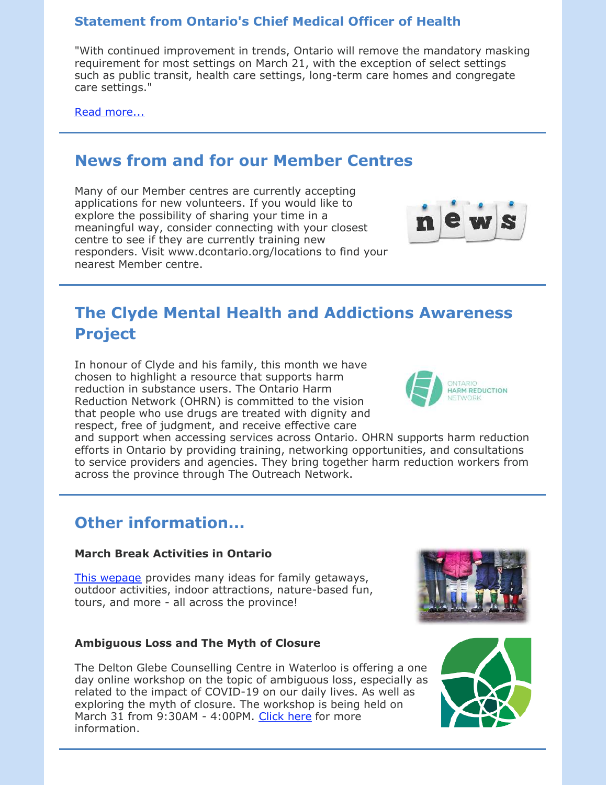### **Statement from Ontario's Chief Medical Officer of Health**

"With continued improvement in trends, Ontario will remove the mandatory masking requirement for most settings on March 21, with the exception of select settings such as public transit, health care settings, long-term care homes and congregate care settings."

[Read more...](https://news.ontario.ca/en/statement/1001732/statement-from-ontarios-chief-medical-officer-of-health)

### **News from and for our Member Centres**

Many of our Member centres are currently accepting applications for new volunteers. If you would like to explore the possibility of sharing your time in a meaningful way, consider connecting with your closest centre to see if they are currently training new responders. Visit www.dcontario.org/locations to find your nearest Member centre.



## **The Clyde Mental Health and Addictions Awareness Project**

In honour of Clyde and his family, this month we have chosen to highlight a resource that supports harm reduction in substance users. The Ontario Harm Reduction Network (OHRN) is committed to the vision that people who use drugs are treated with dignity and respect, free of judgment, and receive effective care



and support when accessing services across Ontario. OHRN supports harm reduction efforts in Ontario by providing training, networking opportunities, and consultations to service providers and agencies. They bring together harm reduction workers from across the province through The Outreach Network.

## **Other information...**

#### **March Break Activities in Ontario**

[This wepage](https://www.destinationontario.com/en-ca/things-to-do/family-attractions/things-do-march-break-ontario) provides many ideas for family getaways, outdoor activities, indoor attractions, nature-based fun, tours, and more - all across the province!

#### **Ambiguous Loss and The Myth of Closure**

The Delton Glebe Counselling Centre in Waterloo is offering a one day online workshop on the topic of ambiguous loss, especially as related to the impact of COVID-19 on our daily lives. As well as exploring the myth of closure. The workshop is being held on March 31 from 9:30AM - 4:00PM. [Click here](https://www.facebook.com/DeltonGlebeCentre/photos/a.217376338433939/1909787089192847/) for more information.



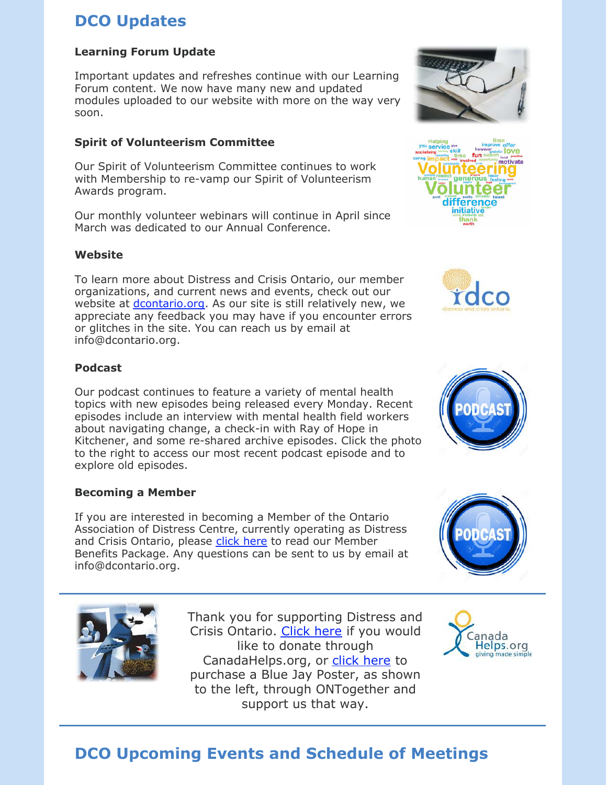# **DCO Updates**

#### **Learning Forum Update**

Important updates and refreshes continue with our Learning Forum content. We now have many new and updated modules uploaded to our website with more on the way very soon.

#### **Spirit of Volunteerism Committee**

Our Spirit of Volunteerism Committee continues to work with Membership to re-vamp our Spirit of Volunteerism Awards program.

Our monthly volunteer webinars will continue in April since March was dedicated to our Annual Conference.

#### **Website**

To learn more about Distress and Crisis Ontario, our member organizations, and current news and events, check out our website at *dcontario.org*. As our site is still relatively new, we appreciate any feedback you may have if you encounter errors or glitches in the site. You can reach us by email at info@dcontario.org.

#### **Podcast**

Our podcast continues to feature a variety of mental health topics with new episodes being released every Monday. Recent episodes include an interview with mental health field workers about navigating change, a check-in with Ray of Hope in Kitchener, and some re-shared archive episodes. Click the photo to the right to access our most recent podcast episode and to explore old episodes.

#### **Becoming a Member**

If you are interested in becoming a Member of the Ontario Association of Distress Centre, currently operating as Distress and Crisis Ontario, please [click here](https://files.constantcontact.com/0fb3237d001/53618100-d539-4c9f-9a7a-67fdb65685d0.pdf) to read our Member Benefits Package. Any questions can be sent to us by email at info@dcontario.org.

> Thank you for supporting Distress and Crisis Ontario. [Click here](https://www.canadahelps.org/en/dn/6317) if you would like to donate through CanadaHelps.org, or [click here](https://www.ontogether.org/resiliency-poster/p/bluejay) to purchase a Blue Jay Poster, as shown to the left, through ONTogether and support us that way.













# **DCO Upcoming Events and Schedule of Meetings**